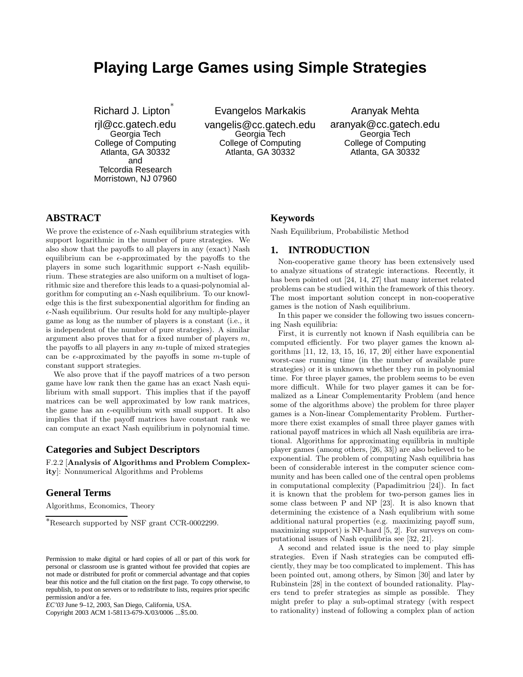# **Playing Large Games using Simple Strategies**

Richard J. Lipton<sup>\*</sup>

rjl@cc.gatech.edu Georgia Tech College of Computing Atlanta, GA 30332 and Telcordia Research Morristown, NJ 07960 Evangelos Markakis

vangelis@cc.gatech.edu Georgia Tech College of Computing Atlanta, GA 30332

Aranyak Mehta

aranyak@cc.gatech.edu Georgia Tech College of Computing Atlanta, GA 30332

# **ABSTRACT**

We prove the existence of  $\epsilon$ -Nash equilibrium strategies with support logarithmic in the number of pure strategies. We also show that the payoffs to all players in any (exact) Nash equilibrium can be  $\epsilon$ -approximated by the payoffs to the players in some such logarithmic support  $\epsilon$ -Nash equilibrium. These strategies are also uniform on a multiset of logarithmic size and therefore this leads to a quasi-polynomial algorithm for computing an  $\epsilon$ -Nash equilibrium. To our knowledge this is the first subexponential algorithm for finding an  $\epsilon$ -Nash equilibrium. Our results hold for any multiple-player game as long as the number of players is a constant (i.e., it is independent of the number of pure strategies). A similar argument also proves that for a fixed number of players  $m$ , the payoffs to all players in any  $m$ -tuple of mixed strategies can be  $\epsilon$ -approximated by the payoffs in some *m*-tuple of constant support strategies.

We also prove that if the payoff matrices of a two person game have low rank then the game has an exact Nash equilibrium with small support. This implies that if the payoff matrices can be well approximated by low rank matrices, the game has an  $\epsilon$ -equilibrium with small support. It also implies that if the payoff matrices have constant rank we can compute an exact Nash equilibrium in polynomial time.

## **Categories and Subject Descriptors**

F.2.2 [Analysis of Algorithms and Problem Complexity]: Nonnumerical Algorithms and Problems

## **General Terms**

Algorithms, Economics, Theory

Copyright 2003 ACM 1-58113-679-X/03/0006 ...\$5.00.

#### **Keywords**

Nash Equilibrium, Probabilistic Method

#### **1. INTRODUCTION**

Non-cooperative game theory has been extensively used to analyze situations of strategic interactions. Recently, it has been pointed out [24, 14, 27] that many internet related problems can be studied within the framework of this theory. The most important solution concept in non-cooperative games is the notion of Nash equilibrium.

In this paper we consider the following two issues concerning Nash equilibria:

First, it is currently not known if Nash equilibria can be computed efficiently. For two player games the known algorithms [11, 12, 13, 15, 16, 17, 20] either have exponential worst-case running time (in the number of available pure strategies) or it is unknown whether they run in polynomial time. For three player games, the problem seems to be even more difficult. While for two player games it can be formalized as a Linear Complementarity Problem (and hence some of the algorithms above) the problem for three player games is a Non-linear Complementarity Problem. Furthermore there exist examples of small three player games with rational payoff matrices in which all Nash equilibria are irrational. Algorithms for approximating equilibria in multiple player games (among others, [26, 33]) are also believed to be exponential. The problem of computing Nash equilibria has been of considerable interest in the computer science community and has been called one of the central open problems in computational complexity (Papadimitriou [24]). In fact it is known that the problem for two-person games lies in some class between P and NP [23]. It is also known that determining the existence of a Nash equlibrium with some additional natural properties (e.g. maximizing payoff sum, maximizing support) is NP-hard [5, 2]. For surveys on computational issues of Nash equilibria see [32, 21].

A second and related issue is the need to play simple strategies. Even if Nash strategies can be computed efficiently, they may be too complicated to implement. This has been pointed out, among others, by Simon [30] and later by Rubinstein [28] in the context of bounded rationality. Players tend to prefer strategies as simple as possible. They might prefer to play a sub-optimal strategy (with respect to rationality) instead of following a complex plan of action

<sup>∗</sup>Research supported by NSF grant CCR-0002299.

Permission to make digital or hard copies of all or part of this work for personal or classroom use is granted without fee provided that copies are not made or distributed for profit or commercial advantage and that copies bear this notice and the full citation on the first page. To copy otherwise, to republish, to post on servers or to redistribute to lists, requires prior specific permission and/or a fee.

*EC'03* June 9–12, 2003, San Diego, California, USA.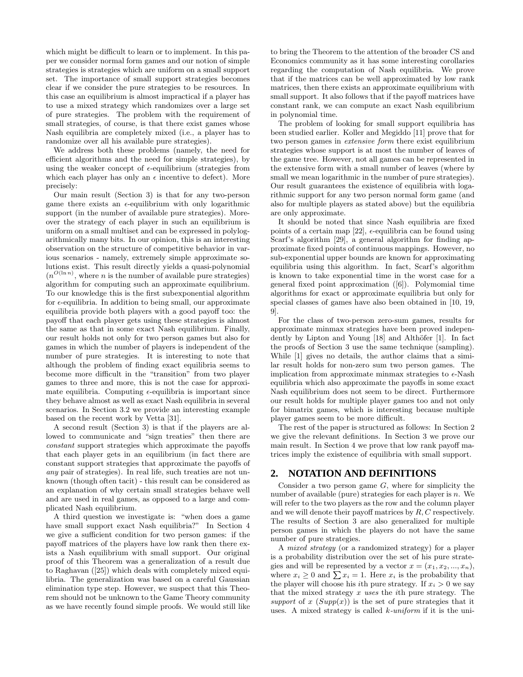which might be difficult to learn or to implement. In this paper we consider normal form games and our notion of simple strategies is strategies which are uniform on a small support set. The importance of small support strategies becomes clear if we consider the pure strategies to be resources. In this case an equilibrium is almost impractical if a player has to use a mixed strategy which randomizes over a large set of pure strategies. The problem with the requirement of small strategies, of course, is that there exist games whose Nash equilibria are completely mixed (i.e., a player has to randomize over all his available pure strategies).

We address both these problems (namely, the need for efficient algorithms and the need for simple strategies), by using the weaker concept of  $\epsilon$ -equilibrium (strategies from which each player has only an  $\epsilon$  incentive to defect). More precisely:

Our main result (Section 3) is that for any two-person game there exists an  $\epsilon$ -equilibrium with only logarithmic support (in the number of available pure strategies). Moreover the strategy of each player in such an equilibrium is uniform on a small multiset and can be expressed in polylogarithmically many bits. In our opinion, this is an interesting observation on the structure of competitive behavior in various scenarios - namely, extremely simple approximate solutions exist. This result directly yields a quasi-polynomial  $(n^{O(\ln n)})$ , where *n* is the number of available pure strategies) algorithm for computing such an approximate equilibrium. To our knowledge this is the first subexponential algorithm for  $\epsilon$ -equilibria. In addition to being small, our approximate equilibria provide both players with a good payoff too: the payoff that each player gets using these strategies is almost the same as that in some exact Nash equilibrium. Finally, our result holds not only for two person games but also for games in which the number of players is independent of the number of pure strategies. It is interesting to note that although the problem of finding exact equilibria seems to become more difficult in the "transition" from two player games to three and more, this is not the case for approximate equilibria. Computing  $\epsilon$ -equilibria is important since they behave almost as well as exact Nash equilibria in several scenarios. In Section 3.2 we provide an interesting example based on the recent work by Vetta [31].

A second result (Section 3) is that if the players are allowed to communicate and "sign treaties" then there are constant support strategies which approximate the payoffs that each player gets in an equilibrium (in fact there are constant support strategies that approximate the payoffs of any pair of strategies). In real life, such treaties are not unknown (though often tacit) - this result can be considered as an explanation of why certain small strategies behave well and are used in real games, as opposed to a large and complicated Nash equilibrium.

A third question we investigate is: "when does a game have small support exact Nash equilibria?" In Section 4 we give a sufficient condition for two person games: if the payoff matrices of the players have low rank then there exists a Nash equilibrium with small support. Our original proof of this Theorem was a generalization of a result due to Raghavan ([25]) which deals with completely mixed equilibria. The generalization was based on a careful Gaussian elimination type step. However, we suspect that this Theorem should not be unknown to the Game Theory community as we have recently found simple proofs. We would still like to bring the Theorem to the attention of the broader CS and Economics community as it has some interesting corollaries regarding the computation of Nash equilibria. We prove that if the matrices can be well approximated by low rank matrices, then there exists an approximate equilibrium with small support. It also follows that if the payoff matrices have constant rank, we can compute an exact Nash equilibrium in polynomial time.

The problem of looking for small support equilibria has been studied earlier. Koller and Megiddo [11] prove that for two person games in extensive form there exist equilibrium strategies whose support is at most the number of leaves of the game tree. However, not all games can be represented in the extensive form with a small number of leaves (where by small we mean logarithmic in the number of pure strategies). Our result guarantees the existence of equilibria with logarithmic support for any two person normal form game (and also for multiple players as stated above) but the equilibria are only approximate.

It should be noted that since Nash equilibria are fixed points of a certain map [22],  $\epsilon$ -equilibria can be found using Scarf's algorithm [29], a general algorithm for finding approximate fixed points of continuous mappings. However, no sub-exponential upper bounds are known for approximating equilibria using this algorithm. In fact, Scarf's algorithm is known to take exponential time in the worst case for a general fixed point approximation ([6]). Polymomial time algorithms for exact or approximate equilibria but only for special classes of games have also been obtained in [10, 19, 9].

For the class of two-person zero-sum games, results for approximate minmax strategies have been proved independently by Lipton and Young  $[18]$  and Althöfer  $[1]$ . In fact the proofs of Section 3 use the same technique (sampling). While [1] gives no details, the author claims that a similar result holds for non-zero sum two person games. The implication from approximate minmax strategies to  $\epsilon$ -Nash equilibria which also approximate the payoffs in some exact Nash equilibrium does not seem to be direct. Furthermore our result holds for multiple player games too and not only for bimatrix games, which is interesting because multiple player games seem to be more difficult.

The rest of the paper is structured as follows: In Section 2 we give the relevant definitions. In Section 3 we prove our main result. In Section 4 we prove that low rank payoff matrices imply the existence of equilibria with small support.

## **2. NOTATION AND DEFINITIONS**

Consider a two person game  $G$ , where for simplicity the number of available (pure) strategies for each player is  $n$ . We will refer to the two players as the row and the column player and we will denote their payoff matrices by R, C respectively. The results of Section 3 are also generalized for multiple person games in which the players do not have the same number of pure strategies.

A mixed strategy (or a randomized strategy) for a player is a probability distribution over the set of his pure strategies and will be represented by a vector  $x = (x_1, x_2, ..., x_n)$ , where  $x_i \geq 0$  and  $\sum x_i = 1$ . Here  $x_i$  is the probability that the player will choose his *i*th pure strategy. If  $x_i > 0$  we say that the mixed strategy x uses the ith pure strategy. The support of x  $(Supp(x))$  is the set of pure strategies that it uses. A mixed strategy is called  $k$ -uniform if it is the uni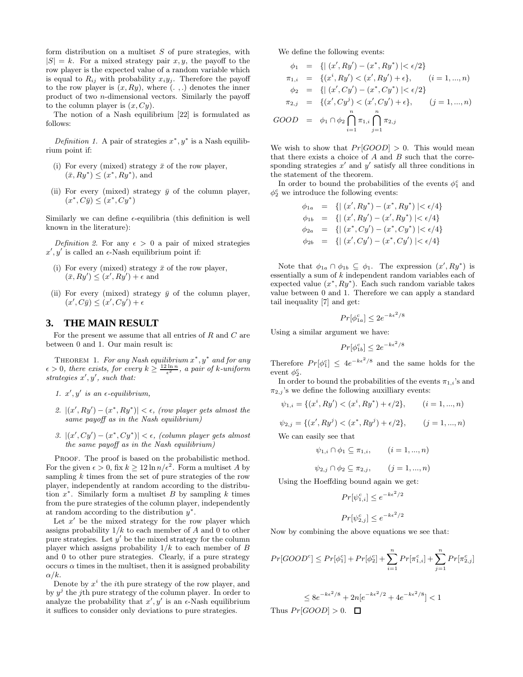form distribution on a multiset  $S$  of pure strategies, with  $|S| = k$ . For a mixed strategy pair x, y, the payoff to the row player is the expected value of a random variable which is equal to  $R_{ij}$  with probability  $x_i y_j$ . Therefore the payoff to the row player is  $(x, Ry)$ , where  $( . , .)$  denotes the inner product of two n-dimensional vectors. Similarly the payoff to the column player is  $(x, Cy)$ .

The notion of a Nash equilibrium [22] is formulated as follows:

Definition 1. A pair of strategies  $x^*, y^*$  is a Nash equilibrium point if:

- (i) For every (mixed) strategy  $\bar{x}$  of the row player,  $(\bar{x}, Ry^*) \leq (x^*, Ry^*),$  and
- (ii) For every (mixed) strategy  $\bar{y}$  of the column player,  $(x^*, C\bar{y}) \leq (x^*, Cy^*)$

Similarly we can define  $\epsilon$ -equilibria (this definition is well known in the literature):

Definition 2. For any  $\epsilon > 0$  a pair of mixed strategies  $x', y'$  is called an  $\epsilon$ -Nash equilibrium point if:

- (i) For every (mixed) strategy  $\bar{x}$  of the row player,  $(\bar{x}, Ry') \leq (x', Ry') + \epsilon$  and
- (ii) For every (mixed) strategy  $\bar{y}$  of the column player,  $(x', C\bar{y}) \leq (x', Cy') + \epsilon$

## **3. THE MAIN RESULT**

For the present we assume that all entries of  $R$  and  $C$  are between 0 and 1. Our main result is:

THEOREM 1. For any Nash equilibrium  $x^*, y^*$  and for any  $\epsilon > 0$ , there exists, for every  $k \geq \frac{12 \ln n}{\epsilon^2}$ , a pair of k-uniform strategies  $x', y'$ , such that:

- 1.  $x', y'$  is an  $\epsilon$ -equilibrium,
- 2.  $|(x', Ry') (x^*, Ry^*)| < \epsilon$ , (row player gets almost the same payoff as in the Nash equilibrium)
- 3.  $|(x', Cy') (x^*, Cy^*)| < \epsilon$ , (column player gets almost the same payoff as in the Nash equilibrium)

PROOF. The proof is based on the probabilistic method. For the given  $\epsilon > 0$ , fix  $k \geq 12 \ln n / \epsilon^2$ . Form a multiset A by sampling  $k$  times from the set of pure strategies of the row player, independently at random according to the distribution  $x^*$ . Similarly form a multiset  $B$  by sampling  $k$  times from the pure strategies of the column player, independently at random according to the distribution  $y^*$ .

Let  $x'$  be the mixed strategy for the row player which assigns probability  $1/k$  to each member of A and 0 to other pure strategies. Let  $y'$  be the mixed strategy for the column player which assigns probability  $1/k$  to each member of B and 0 to other pure strategies. Clearly, if a pure strategy occurs  $\alpha$  times in the multiset, then it is assigned probability  $\alpha/k$ .

Denote by  $x^i$  the *i*<sup>th</sup> pure strategy of the row player, and by  $y^j$  the jth pure strategy of the column player. In order to analyze the probability that  $x', y'$  is an  $\epsilon$ -Nash equilibrium it suffices to consider only deviations to pure strategies.

We define the following events:

$$
\phi_1 = \{ | (x', Ry') - (x^*, Ry^*) | < \epsilon/2 \}
$$
\n
$$
\pi_{1,i} = \{ (x^i, Ry') < (x', Ry') + \epsilon \}, \quad (i = 1, ..., n)
$$
\n
$$
\phi_2 = \{ | (x', Cy') - (x^*, Cy^*) | < \epsilon/2 \}
$$
\n
$$
\pi_{2,j} = \{ (x', Cy^j) < (x', Cy') + \epsilon \}, \quad (j = 1, ..., n)
$$
\n
$$
GOOD = \phi_1 \cap \phi_2 \bigcap_{i=1}^n \pi_{1,i} \bigcap_{j=1}^n \pi_{2,j}
$$

We wish to show that  $Pr[GOOD] > 0$ . This would mean that there exists a choice of  $A$  and  $B$  such that the corresponding strategies  $x'$  and  $y'$  satisfy all three conditions in the statement of the theorem.

In order to bound the probabilities of the events  $\phi_1^c$  and  $\phi_2^c$  we introduce the following events:

$$
\phi_{1a} = \{ | (x', Ry^*) - (x^*, Ry^*) | < \epsilon/4 \}
$$
\n
$$
\phi_{1b} = \{ | (x', Ry') - (x', Ry^*) | < \epsilon/4 \}
$$
\n
$$
\phi_{2a} = \{ | (x^*, Cy') - (x^*, Cy^*) | < \epsilon/4 \}
$$
\n
$$
\phi_{2b} = \{ | (x', Cy') - (x^*, Cy') | < \epsilon/4 \}
$$

Note that  $\phi_{1a} \cap \phi_{1b} \subseteq \phi_1$ . The expression  $(x', Ry^*)$  is essentially a sum of k independent random variables each of expected value  $(x^*, Ry^*)$ . Each such random variable takes value between 0 and 1. Therefore we can apply a standard tail inequality [7] and get:

$$
Pr[\phi_{1a}^c] \le 2e^{-k\epsilon^2/8}
$$

Using a similar argument we have:

$$
Pr[\phi_{1b}^c] \leq 2e^{-k\epsilon^2/8}
$$

Therefore  $Pr[\phi_1^c] \leq 4e^{-k\epsilon^2/8}$  and the same holds for the event  $\phi_2^c$ .

In order to bound the probabilities of the events  $\pi_{1,i}$  's and  $\pi_{2,j}$ 's we define the following auxilliary events:

$$
\psi_{1,i} = \{(x^i, Ry') < (x^i, Ry^*) + \epsilon/2\}, \qquad (i = 1, \dots, n)
$$

 $\psi_{2,j} = \{ (x', Ry^j) < (x^*, Ry^j) + \epsilon/2 \}, \quad (j = 1, ..., n)$ 

We can easily see that

$$
\psi_{1,i} \cap \phi_1 \subseteq \pi_{1,i}, \qquad (i = 1, ..., n)
$$

$$
\psi_{2,j} \cap \phi_2 \subseteq \pi_{2,j}, \qquad (j = 1, ..., n)
$$

Using the Hoeffding bound again we get:

$$
Pr[\psi_{1,i}^c] \leq e^{-k\epsilon^2/2}
$$

$$
Pr[\psi_{2,j}^c] \le e^{-k\epsilon^2/2}
$$

Now by combining the above equations we see that:

$$
Pr[GOOD^c] \le Pr[\phi_1^c] + Pr[\phi_2^c] + \sum_{i=1}^n Pr[\pi_{1,i}^c] + \sum_{j=1}^n Pr[\pi_{2,j}^c]
$$

$$
\leq 8e^{-k\epsilon^2/8} + 2n[e^{-k\epsilon^2/2} + 4e^{-k\epsilon^2/8}] < 1
$$
  
Thus  $Pr[GOOD] > 0$ .  $\square$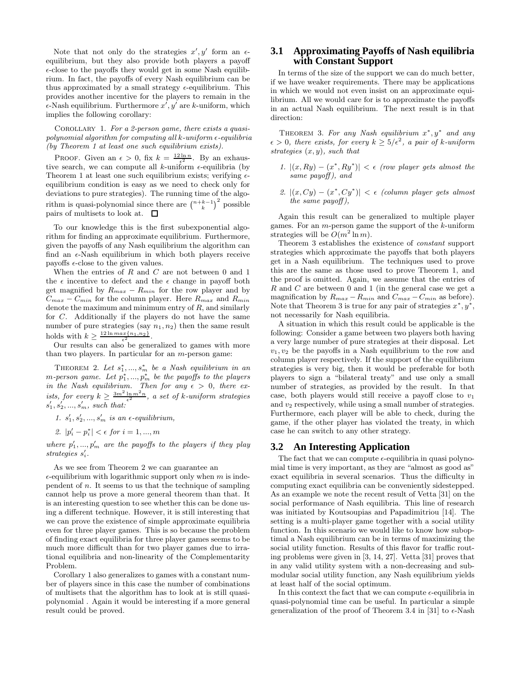Note that not only do the strategies  $x', y'$  form an  $\epsilon$ equilibrium, but they also provide both players a payoff  $\epsilon$ -close to the payoffs they would get in some Nash equilibrium. In fact, the payoffs of every Nash equilibrium can be thus approximated by a small strategy  $\epsilon$ -equilibrium. This provides another incentive for the players to remain in the  $\epsilon$ -Nash equilibrium. Furthermore  $x', y'$  are k-uniform, which implies the following corollary:

COROLLARY 1. For a 2-person game, there exists a quasipolynomial algorithm for computing all  $k$ -uniform  $\epsilon$ -equilibria (by Theorem 1 at least one such equilibrium exists).

PROOF. Given an  $\epsilon > 0$ , fix  $k = \frac{12 \ln n}{\epsilon^2}$ . By an exhaustive search, we can compute all k-uniform  $\epsilon$ -equilibria (by Theorem 1 at least one such equilibrium exists; verifying  $\epsilon$ equilibrium condition is easy as we need to check only for deviations to pure strategies). The running time of the algorithm is quasi-polynomial since there are  $\binom{n+k-1}{k}^2$  pos 2 possible pairs of multisets to look at.  $\Box$ 

To our knowledge this is the first subexponential algorithm for finding an approximate equilibrium. Furthermore, given the payoffs of any Nash equilibrium the algorithm can find an  $\epsilon$ -Nash equilibrium in which both players receive payoffs  $\epsilon$ -close to the given values.

When the entries of  $R$  and  $C$  are not between  $0$  and  $1$ the  $\epsilon$  incentive to defect and the  $\epsilon$  change in payoff both get magnified by  $R_{max} - R_{min}$  for the row player and by  $C_{max} - C_{min}$  for the column player. Here  $R_{max}$  and  $R_{min}$ denote the maximum and minimum entry of  $R$ , and similarly for  $C$ . Additionally if the players do not have the same number of pure strategies (say  $n_1, n_2$ ) then the same result holds with  $k \geq \frac{12 \ln max\{n_1, n_2\}}{\epsilon^2}$ .

Our results can also be generalized to games with more than two players. In particular for an  $m$ -person game:

THEOREM 2. Let  $s_1^*,...,s_m^*$  be a Nash equilibrium in an  $m$ -person game. Let  $p_1^*,..., p_m^*$  be the payoffs to the players in the Nash equilibrium. Then for any  $\epsilon > 0$ , there exists, for every  $k \geq \frac{3m^2 \ln m^2 n}{\epsilon^2}$ , a set of k-uniform strategies  $s'_1, s'_2, ..., s'_m$ , such that:

1.  $s'_1, s'_2, ..., s'_m$  is an  $\epsilon$ -equilibrium,

2. 
$$
|p'_i - p^*_i| < \epsilon \text{ for } i = 1, ..., m
$$

where  $p'_1, ..., p'_m$  are the payoffs to the players if they play strategies  $s_i'$ .

As we see from Theorem 2 we can guarantee an  $\epsilon$ -equilibrium with logarithmic support only when m is independent of  $n$ . It seems to us that the technique of sampling cannot help us prove a more general theorem than that. It is an interesting question to see whether this can be done using a different technique. However, it is still interesting that we can prove the existence of simple approximate equilibria even for three player games. This is so because the problem of finding exact equilibria for three player games seems to be much more difficult than for two player games due to irrational equilibria and non-linearity of the Complementarity Problem.

Corollary 1 also generalizes to games with a constant number of players since in this case the number of combinations of multisets that the algorithm has to look at is still quasipolynomial . Again it would be interesting if a more general result could be proved.

#### **3.1 Approximating Payoffs of Nash equilibria with Constant Support**

In terms of the size of the support we can do much better, if we have weaker requirements. There may be applications in which we would not even insist on an approximate equilibrium. All we would care for is to approximate the payoffs in an actual Nash equilibrium. The next result is in that direction:

THEOREM 3. For any Nash equilibrium  $x^*, y^*$  and any  $\epsilon > 0$ , there exists, for every  $k \ge 5/\epsilon^2$ , a pair of k-uniform strategies  $(x, y)$ , such that

- 1.  $|(x, Ry) (x^*, Ry^*)| < \epsilon$  (row player gets almost the same payoff), and
- 2.  $|(x, Cy) (x^*, Cy^*)| < \epsilon$  (column player gets almost the same payoff),

Again this result can be generalized to multiple player games. For an m-person game the support of the k-uniform strategies will be  $O(m^2 \ln m)$ .

Theorem 3 establishes the existence of constant support strategies which approximate the payoffs that both players get in a Nash equilibrium. The techniques used to prove this are the same as those used to prove Theorem 1, and the proof is omitted. Again, we assume that the entries of R and C are between 0 and 1 (in the general case we get a magnification by  $R_{max} - R_{min}$  and  $C_{max} - C_{min}$  as before). Note that Theorem 3 is true for any pair of strategies  $x^*, y^*,$ not necessarily for Nash equilibria.

A situation in which this result could be applicable is the following: Consider a game between two players both having a very large number of pure strategies at their disposal. Let  $v_1, v_2$  be the payoffs in a Nash equilibrium to the row and column player respectively. If the support of the equilibrium strategies is very big, then it would be preferable for both players to sign a "bilateral treaty" and use only a small number of strategies, as provided by the result. In that case, both players would still receive a payoff close to  $v_1$ and  $v_2$  respectively, while using a small number of strategies. Furthermore, each player will be able to check, during the game, if the other player has violated the treaty, in which case he can switch to any other strategy.

## **3.2 An Interesting Application**

The fact that we can compute  $\epsilon$ -equilibria in quasi polynomial time is very important, as they are "almost as good as" exact equilibria in several scenarios. Thus the difficulty in computing exact equilibria can be conveniently sidestepped. As an example we note the recent result of Vetta [31] on the social performance of Nash equilibria. This line of research was initiated by Koutsoupias and Papadimitriou [14]. The setting is a multi-player game together with a social utility function. In this scenario we would like to know how suboptimal a Nash equilibrium can be in terms of maximizing the social utility function. Results of this flavor for traffic routing problems were given in [3, 14, 27]. Vetta [31] proves that in any valid utility system with a non-decreasing and submodular social utility function, any Nash equilibrium yields at least half of the social optimum.

In this context the fact that we can compute  $\epsilon$ -equilibria in quasi-polynomial time can be useful. In particular a simple generalization of the proof of Theorem 3.4 in [31] to  $\epsilon$ -Nash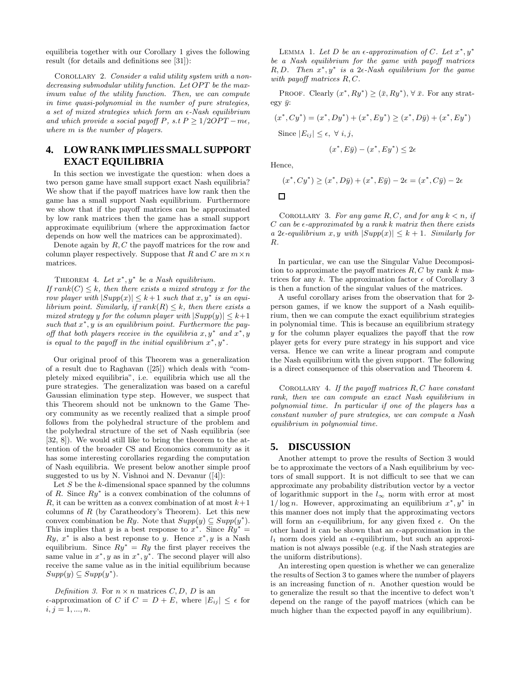equilibria together with our Corollary 1 gives the following result (for details and definitions see [31]):

COROLLARY 2. Consider a valid utility system with a nondecreasing submodular utility function. Let OPT be the maximum value of the utility function. Then, we can compute in time quasi-polynomial in the number of pure strategies, a set of mixed strategies which form an  $\epsilon$ -Nash equilibrium and which provide a social payoff P, s.t  $P \geq 1/2OPT - m\epsilon$ , where  $m$  is the number of players.

# **4. LOWRANKIMPLIES SMALLSUPPORT EXACT EQUILIBRIA**

In this section we investigate the question: when does a two person game have small support exact Nash equilibria? We show that if the payoff matrices have low rank then the game has a small support Nash equilibrium. Furthermore we show that if the payoff matrices can be approximated by low rank matrices then the game has a small support approximate equilibrium (where the approximation factor depends on how well the matrices can be approximated).

Denote again by  $R, C$  the payoff matrices for the row and column player respectively. Suppose that R and C are  $m \times n$ matrices.

THEOREM 4. Let  $x^*, y^*$  be a Nash equilibrium.

If  $rank(C) \leq k$ , then there exists a mixed strategy x for the row player with  $|Supp(x)| \leq k+1$  such that  $x, y^*$  is an equilibrium point. Similarly, if  $rank(R) \leq k$ , then there exists a mixed strategy y for the column player with  $|Supp(y)| \leq k+1$ such that  $x^*$ , y is an equilibrium point. Furthermore the payoff that both players receive in the equilibria  $x, y^*$  and  $x^*, y$ is equal to the payoff in the initial equilibrium  $x^*, y^*$ .

Our original proof of this Theorem was a generalization of a result due to Raghavan ([25]) which deals with "completely mixed equilibria", i.e. equilibria which use all the pure strategies. The generalization was based on a careful Gaussian elimination type step. However, we suspect that this Theorem should not be unknown to the Game Theory community as we recently realized that a simple proof follows from the polyhedral structure of the problem and the polyhedral structure of the set of Nash equilibria (see [32, 8]). We would still like to bring the theorem to the attention of the broader CS and Economics community as it has some interesting corollaries regarding the computation of Nash equilibria. We present below another simple proof suggested to us by N. Vishnoi and N. Devanur  $([4])$ :

Let  $S$  be the  $k$ -dimensional space spanned by the columns of  $R$ . Since  $Ry^*$  is a convex combination of the columns of R, it can be written as a convex combination of at most  $k+1$ columns of  $R$  (by Caratheodory's Theorem). Let this new convex combination be Ry. Note that  $Supp(y) \subseteq Supp(y^*)$ . This implies that y is a best response to  $x^*$ . Since  $Ry^* =$ Ry,  $x^*$  is also a best reponse to y. Hence  $x^*$ , y is a Nash equilibrium. Since  $Ry^* = Ry$  the first player receives the same value in  $x^*$ , y as in  $x^*$ , y<sup>\*</sup>. The second player will also receive the same value as in the initial equilibrium because  $Supp(y) \subseteq Supp(y^*)$ .

Definition 3. For  $n \times n$  matrices C, D, D is an  $\epsilon$ -approximation of C if  $C = D + E$ , where  $|E_{ij}| \leq \epsilon$  for  $i, j = 1, ..., n$ .

LEMMA 1. Let D be an  $\epsilon$ -approximation of C. Let  $x^*, y^*$ be a Nash equilibrium for the game with payoff matrices R, D. Then  $x^*$ ,  $y^*$  is a 2 $\epsilon$ -Nash equilibrium for the game with payoff matrices  $R, C$ .

PROOF. Clearly  $(x^*, Ry^*) \geq (\bar{x}, Ry^*), \forall \bar{x}$ . For any strategy  $\bar{y}$ :

$$
(x^*, Cy^*) = (x^*, Dy^*) + (x^*, Ey^*) \ge (x^*, D\bar{y}) + (x^*, Ey^*)
$$
  
Since  $|E_{ij}| \le \epsilon$ ,  $\forall$  *i*, *j*,

$$
(x^*, E\bar{y}) - (x^*, Ey^*) \le 2\epsilon
$$

Hence,

$$
(x^*, Cy^*) \ge (x^*, D\bar{y}) + (x^*, E\bar{y}) - 2\epsilon = (x^*, C\bar{y}) - 2\epsilon
$$

 $\Box$ 

COROLLARY 3. For any game  $R, C$ , and for any  $k < n$ , if  $C$  can be  $\epsilon$ -approximated by a rank k matrix then there exists a 2 $\epsilon$ -equilibrium x, y with  $|Supp(x)| \leq k+1$ . Similarly for R.

In particular, we can use the Singular Value Decomposition to approximate the payoff matrices  $R, C$  by rank k matrices for any k. The approximation factor  $\epsilon$  of Corollary 3 is then a function of the singular values of the matrices.

A useful corollary arises from the observation that for 2 person games, if we know the support of a Nash equilibrium, then we can compute the exact equilibrium strategies in polynomial time. This is because an equilibrium strategy y for the column player equalizes the payoff that the row player gets for every pure strategy in his support and vice versa. Hence we can write a linear program and compute the Nash equilibrium with the given support. The following is a direct consequence of this observation and Theorem 4.

COROLLARY 4. If the payoff matrices  $R, C$  have constant rank, then we can compute an exact Nash equilibrium in polynomial time. In particular if one of the players has a constant number of pure strategies, we can compute a Nash equilibrium in polynomial time.

#### **5. DISCUSSION**

Another attempt to prove the results of Section 3 would be to approximate the vectors of a Nash equilibrium by vectors of small support. It is not difficult to see that we can approximate any probability distribution vector by a vector of logarithmic support in the  $l_{\infty}$  norm with error at most  $1/\log n$ . However, approximating an equilibrium  $x^*, y^*$  in this manner does not imply that the approximating vectors will form an  $\epsilon$ -equilibrium, for any given fixed  $\epsilon$ . On the other hand it can be shown that an  $\epsilon$ -approximation in the  $l_1$  norm does yield an  $\epsilon$ -equilibrium, but such an approximation is not always possible (e.g. if the Nash strategies are the uniform distributions).

An interesting open question is whether we can generalize the results of Section 3 to games where the number of players is an increasing function of  $n$ . Another question would be to generalize the result so that the incentive to defect won't depend on the range of the payoff matrices (which can be much higher than the expected payoff in any equilibrium).